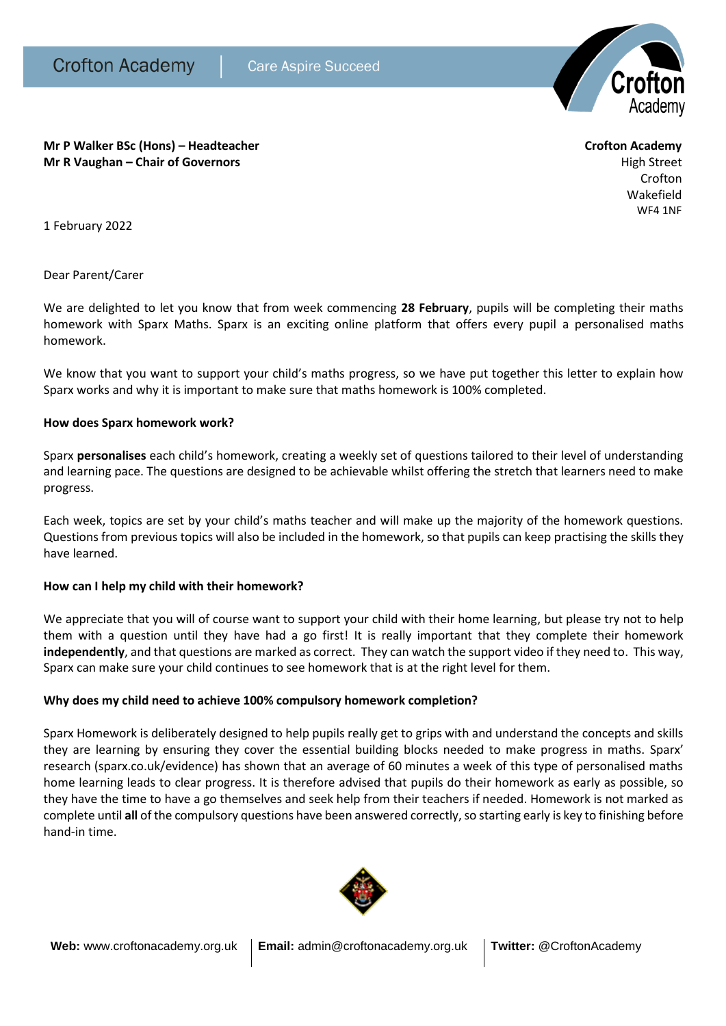

**Mr P Walker BSc (Hons) – Headteacher Crofton Academy Mr R Vaughan – Chair of Governors High Street High Street High Street High Street** 

Crofton Wakefield WF4 1NF

1 February 2022

Dear Parent/Carer

We are delighted to let you know that from week commencing **28 February**, pupils will be completing their maths homework with Sparx Maths. Sparx is an exciting online platform that offers every pupil a personalised maths homework.

We know that you want to support your child's maths progress, so we have put together this letter to explain how Sparx works and why it is important to make sure that maths homework is 100% completed.

## **How does Sparx homework work?**

Sparx **personalises** each child's homework, creating a weekly set of questions tailored to their level of understanding and learning pace. The questions are designed to be achievable whilst offering the stretch that learners need to make progress.

Each week, topics are set by your child's maths teacher and will make up the majority of the homework questions. Questions from previous topics will also be included in the homework, so that pupils can keep practising the skills they have learned.

## **How can I help my child with their homework?**

We appreciate that you will of course want to support your child with their home learning, but please try not to help them with a question until they have had a go first! It is really important that they complete their homework **independently**, and that questions are marked as correct. They can watch the support video if they need to. This way, Sparx can make sure your child continues to see homework that is at the right level for them.

## **Why does my child need to achieve 100% compulsory homework completion?**

Sparx Homework is deliberately designed to help pupils really get to grips with and understand the concepts and skills they are learning by ensuring they cover the essential building blocks needed to make progress in maths. Sparx' research (sparx.co.uk/evidence) has shown that an average of 60 minutes a week of this type of personalised maths home learning leads to clear progress. It is therefore advised that pupils do their homework as early as possible, so they have the time to have a go themselves and seek help from their teachers if needed. Homework is not marked as complete until **all** of the compulsory questions have been answered correctly, so starting early is key to finishing before hand-in time.